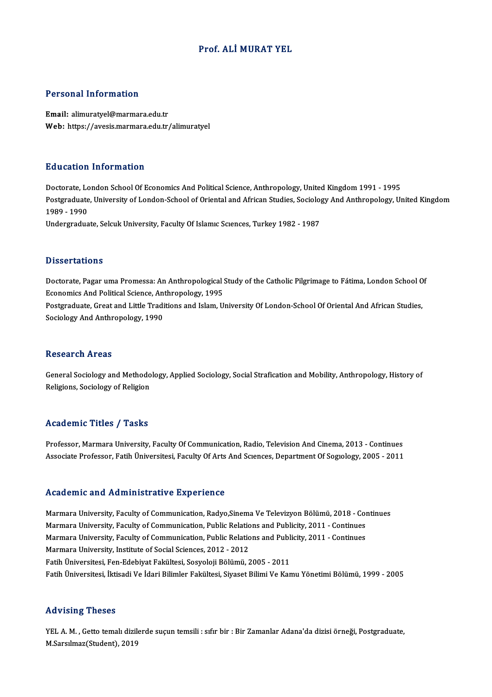### Prof. ALİMURAT YEL

### Personal Information

Email: alimuratyel@marmara.edu.tr Web: https://avesis.marmara.edu.tr/alimuratyel

### Education Information

Doctorate, London School Of Economics And Political Science, Anthropology, United Kingdom 1991 - 1995 Pula Sation Timor Interon<br>Doctorate, London School Of Economics And Political Science, Anthropology, United Kingdom 1991 - 1995<br>Postgraduate, University of London-School of Oriental and African Studies, Sociology And Anthr 1989 - 1990<br>Undergraduate, Selcuk University, Faculty Of Islamic Sciences, Turkey 1982 - 1987 Postgraduate, University of London-School of Oriental and African Studies, Sociolo<sub>!</sub><br>1989 - 1990<br>Undergraduate, Selcuk University, Faculty Of Islamıc Scıences, Turkey 1982 - 1987

### **Dissertations**

Dissertations<br>Doctorate, Pagar uma Promessa: An Anthropological Study of the Catholic Pilgrimage to Fátima, London School Of<br>Feonomics And Political Sciones, Anthropology, 1995 Existent cattons<br>Doctorate, Pagar uma Promessa: An Anthropological !<br>Economics And Political Science, Anthropology, 1995<br>Postsyduate, Creat and Little Traditions and John II Doctorate, Pagar uma Promessa: An Anthropological Study of the Catholic Pilgrimage to Fátima, London School O<br>Economics And Political Science, Anthropology, 1995<br>Postgraduate, Great and Little Traditions and Islam, Univers Economics And Political Science, An<br>Postgraduate, Great and Little Tradi<br>Sociology And Anthropology, 1990 Sociology And Anthropology, 1990<br>Research Areas

Research Areas<br>General Sociology and Methodology, Applied Sociology, Social Strafication and Mobility, Anthropology, History of<br>Religions, Sociology of Beligion Rebear on 111 eas<br>General Sociology and Methodo<br>Religions, Sociology of Religion Religions, Sociology of Religion<br>Academic Titles / Tasks

Professor, Marmara University, Faculty Of Communication, Radio, Television And Cinema, 2013 - Continues Associate Professor, Fatih Üniversitesi, Faculty Of Arts And Sciences, Department Of Sogiology, 2005 - 2011

### Academic and Administrative Experience

Academic and Administrative Experience<br>Marmara University, Faculty of Communication, Radyo,Sinema Ve Televizyon Bölümü, 2018 - Continues<br>Marmara University, Faculty of Communication, Bublie Belations and Bublisity, 2011, C Marmara University, Faculty of Communication, Radyo,Sinema Ve Televizyon Bölümü, 2018 - Continues<br>Marmara University, Faculty of Communication, Public Relations and Publicity, 2011 - Continues<br>Marmara University, Faculty o Marmara University, Faculty of Communication, Radyo,Sinema Ve Televizyon Bölümü, 2018 - Con<br>Marmara University, Faculty of Communication, Public Relations and Publicity, 2011 - Continues<br>Marmara University, Faculty of Comm Marmara University, Faculty of Communication, Public Relation<br>Marmara University, Faculty of Communication, Public Relation<br>Marmara University, Institute of Social Sciences, 2012 - 2012<br>Fatih Universitesi, Fan Edebiyat Fak Marmara University, Faculty of Communication, Public Relations and Publi<br>Marmara University, Institute of Social Sciences, 2012 - 2012<br>Fatih Üniversitesi, Fen-Edebiyat Fakültesi, Sosyoloji Bölümü, 2005 - 2011<br>Fatih Ünivers Marmara University, Institute of Social Sciences, 2012 - 2012<br>Fatih Üniversitesi, Fen-Edebiyat Fakültesi, Sosyoloji Bölümü, 2005 - 2011<br>Fatih Üniversitesi, İktisadi Ve İdari Bilimler Fakültesi, Siyaset Bilimi Ve Kamu Yönet

### Advising Theses

Advising Theses<br>YEL A. M. , Getto temalı dizilerde suçun temsili : sıfır bir : Bir Zamanlar Adana'da dizisi örneği, Postgraduate,<br>M.Saralmar(Student), 2019 rea vionny messes<br>YEL A. M. , Getto temalı dizil<br>M.Sarsılmaz(Student), 2019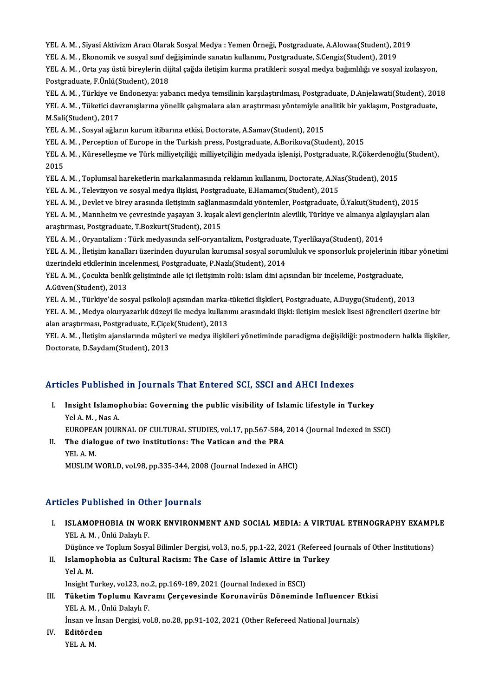YEL A. M. , Siyasi Aktivizm Aracı Olarak Sosyal Medya : Yemen Örneği, Postgraduate, A.Alowaa(Student), 2019<br>YEL A. M. , Siyasi Aktivizm Aracı Olarak Sosyal Medya : Yemen Örneği, Postgraduate, A.Alowaa(Student), 2019, YEL A. M. , Siyasi Aktivizm Aracı Olarak Sosyal Medya : Yemen Örneği, Postgraduate, A.Alowaa(Student), 20<br>YEL A. M. , Ekonomik ve sosyal sınıf değişiminde sanatın kullanımı, Postgraduate, S.Cengiz(Student), 2019<br>YEL A. M.

YEL A. M. , Siyasi Aktivizm Aracı Olarak Sosyal Medya : Yemen Örneği, Postgraduate, A.Alowaa(Student), 2019<br>YEL A. M. , Ekonomik ve sosyal sınıf değişiminde sanatın kullanımı, Postgraduate, S.Cengiz(Student), 2019<br>YEL A. M YEL A. M. , Ekonomik ve sosyal sınıf değişiminde sanatın kullanımı, Postgraduate, S.Cengiz(Student), 2019<br>YEL A. M. , Orta yaş üstü bireylerin dijital çağda iletişim kurma pratikleri: sosyal medya bağımlılığı ve sosyal izo YEL A. M. , Orta yaş üstü bireylerin dijital çağda iletişim kurma pratikleri: sosyal medya bağımlılığı ve sosyal izolasyon,<br>Postgraduate, F.Ünlü(Student), 2018<br>YEL A. M. , Türkiye ve Endonezya: yabancı medya temsilinin kar

Postgraduate, F.Ünlü(Student), 2018<br>YEL A. M. , Türkiye ve Endonezya: yabancı medya temsilinin karşılaştırılması, Postgraduate, D.Anjelawati(Student), 20<br>YEL A. M. , Tüketici davranışlarına yönelik çalışmalara alan araştır YEL A. M. , Türkiye ve l<br>YEL A. M. , Tüketici dav<br>M.Sali(Student), 2017<br>YEL A. M. Sosyal ağlar YEL A. M. , Tüketici davranışlarına yönelik çalışmalara alan araştırması yöntemiyle analitik bir yaklaşım, Postgraduate,<br>M.Sali(Student), 2017<br>YEL A. M. , Sosyal ağların kurum itibarına etkisi, Doctorate, A.Samav(Student),

YEL A, M., Perception of Europe in the Turkish press, Postgraduate, A,Borikova(Student), 2015

YEL A. M. , Sosyal ağların kurum itibarına etkisi, Doctorate, A.Samav(Student), 2015<br>YEL A. M. , Perception of Europe in the Turkish press, Postgraduate, A.Borikova(Student), 2015<br>YEL A. M. , Küreselleşme ve Türk milliyetç YEL A<br>YEL A<br>2015<br><sup>VEL A</sup> YEL A. M. , Küreselleşme ve Türk milliyetçiliği; milliyetçiliğin medyada işlenişi, Postgraduate, R.Çökerdenoğl<br>2015<br>YEL A. M. , Toplumsal hareketlerin markalanmasında reklamın kullanımı, Doctorate, A.Nas(Student), 2015<br>YEL

2015<br>YEL A. M. , Toplumsal hareketlerin markalanmasında reklamın kullanımı, Doctorate, A.Nas(Student), 2015<br>YEL A. M. , Televizyon ve sosyal medya ilişkisi, Postgraduate, E.Hamamcı(Student), 2015

YEL A. M. , Toplumsal hareketlerin markalanmasında reklamın kullanımı, Doctorate, A.Nas(Student), 2015<br>YEL A. M. , Televizyon ve sosyal medya ilişkisi, Postgraduate, E.Hamamcı(Student), 2015<br>YEL A. M. , Devlet ve birey ara

YEL A. M. , Televizyon ve sosyal medya ilişkisi, Postgraduate, E.Hamamcı(Student), 2015<br>YEL A. M. , Devlet ve birey arasında iletişimin sağlanmasındaki yöntemler, Postgraduate, Ö.Yakut(Student), 2015<br>YEL A. M. , Mannheim v YEL A. M. , Devlet ve birey arasında iletişimin sağlanm<br>YEL A. M. , Mannheim ve çevresinde yaşayan 3. kuşak<br>araştırması, Postgraduate, T.Bozkurt(Student), 2015<br>YEL A. M. Orvantalizm : Türk madyasında salf arvant YEL A. M. , Mannheim ve çevresinde yaşayan 3. kuşak alevi gençlerinin alevilik, Türkiye ve almanya algılayışları alan<br>araştırması, Postgraduate, T.Bozkurt(Student), 2015

YEL A. M., Oryantalizm: Türk medyasında self-oryantalizm, Postgraduate, T.yerlikaya(Student), 2014

YEL A. M. , İletişim kanalları üzerinden duyurulan kurumsal sosyal sorumluluk ve sponsorluk projelerinin itibar yönetimi<br>üzerindeki etkilerinin incelenmesi, Postgraduate, P.Nazlı(Student), 2014 YEL A. M. , İletişim kanalları üzerinden duyurulan kurumsal sosyal sorumluluk ve sponsorluk projelerinin it<br>üzerindeki etkilerinin incelenmesi, Postgraduate, P.Nazlı(Student), 2014<br>YEL A. M. , Çocukta benlik gelişiminde ai

üzerindeki etkilerinin inc<br>YEL A. M. , Çocukta benlik<br>A.Güven(Student), 2013<br>YEL A. M., Türkiya'da sas YEL A. M. , Çocukta benlik gelişiminde aile içi iletişimin rolü: islam dini açısından bir inceleme, Postgraduate,<br>A.Güven(Student), 2013<br>YEL A. M. , Türkiye'de sosyal psikoloji açısından marka-tüketici ilişkileri, Postgrad

A.Güven(Student), 2013<br>YEL A. M. , Türkiye'de sosyal psikoloji açısından marka-tüketici ilişkileri, Postgraduate, A.Duygu(Student), 2013<br>YEL A. M. , Medya okuryazarlık düzeyi ile medya kullanımı arasındaki ilişki: iletişim YEL A. M. , Türkiye'de sosyal psikoloji açısından marka-<br>YEL A. M. , Medya okuryazarlık düzeyi ile medya kullanı<br>alan araştırması, Postgraduate, E.Çiçek(Student), 2013<br>YEL A.M. , İletisim ajanglarında müsteri ve medya iliş YEL A. M. , Medya okuryazarlık düzeyi ile medya kullanımı arasındaki ilişki: iletişim meslek lisesi öğrencileri üzerine bir<br>alan araştırması, Postgraduate, E.Çiçek(Student), 2013<br>YEL A. M. , İletişim ajanslarında müşteri v

alan araştırması, Postgraduate, E.Çiçek(Student), 2013<br>YEL A. M. , İletişim ajanslarında müşteri ve medya ilişkileri yönetiminde paradigma değişikliği: postmodern halkla ilişkiler,<br>Doctorate, D.Saydam(Student), 2013

# Doctorate, D.Saydam(Student), 2013<br>Articles Published in Journals That Entered SCI, SSCI and AHCI Indexes

rticles Published in Journals That Entered SCI, SSCI and AHCI Indexes<br>I. Insight Islamophobia: Governing the public visibility of Islamic lifestyle in Turkey<br>Vel A.M. Nes A I. Insight Islamophobia: Governing the public visibility of Islamic lifestyle in Turkey Yel A.M., Nas A. Insight Islamophobia: Governing the public visibility of Islamic lifestyle in Turkey<br>Yel A. M. , Nas A.<br>EUROPEAN JOURNAL OF CULTURAL STUDIES, vol.17, pp.567-584, 2014 (Journal Indexed in SSCI)<br>The dialegue of two instituti Yel A. M., Nas A.<br>EUROPEAN JOURNAL OF CULTURAL STUDIES, vol.17, pp.567-584,<br>II. The dialogue of two institutions: The Vatican and the PRA<br>VEL A.M

# EUROPEA<br>The dial<br>YEL A. M.<br>MUSLIMA II. The dialogue of two institutions: The Vatican and the PRA<br>YEL A. M.<br>MUSLIM WORLD, vol.98, pp.335-344, 2008 (Journal Indexed in AHCI)

# Articles Published in Other Journals

rticles Published in Other Journals<br>I. ISLAMOPHOBIA IN WORK ENVIRONMENT AND SOCIAL MEDIA: A VIRTUAL ETHNOGRAPHY EXAMPLE<br>VELA M. Üplü Delayl E YELA.<br>ISLAMOPHOBIA IN WO<br>YEL A. M. , Ünlü Dalaylı F.<br>Düşünge ve Tenlum Seav ISLAMOPHOBIA IN WORK ENVIRONMENT AND SOCIAL MEDIA: A VIRTUAL ETHNOGRAPHY EXAMP!<br>YEL A. M. , Ünlü Dalaylı F.<br>Düşünce ve Toplum Sosyal Bilimler Dergisi, vol.3, no.5, pp.1-22, 2021 (Refereed Journals of Other Institutions)<br>Is

YEL A. M. , Ünlü Dalaylı F.<br>Düşünce ve Toplum Sosyal Bilimler Dergisi, vol.3, no.5, pp.1-22, 2021 (Refereed<br>II. Islamophobia as Cultural Racism: The Case of Islamic Attire in Turkey<br>Vol.4 M Düşünce<br>I<mark>slamop</mark><br>Yel A. M.<br>Insisht T Islamophobia as Cultural Racism: The Case of Islamic Attire in T<br>Yel A. M.<br>Insight Turkey, vol.23, no.2, pp.169-189, 2021 (Journal Indexed in ESCI)<br>Tüketim Tonlumu Keyramı Consevesinde Kenenevinüs Dönemind

Yel A. M.<br>Insight Turkey, vol.23, no.2, pp.169-189, 2021 (Journal Indexed in ESCI)<br>III. Tüketim Toplumu Kavramı Çerçevesinde Koronavirüs Döneminde Influencer Etkisi<br>VEL A. M. Ünlü Delevl E Insight Turkey, vol.23, no.<br>**Tüketim Toplumu Kavr**<br>YEL A. M. , Ünlü Dalaylı F.<br>İncan ve İncan Dargisi vo Tüketim Toplumu Kavramı Çerçevesinde Koronavirüs Döneminde Influencer E<br>YEL A. M. , Ünlü Dalaylı F.<br>İnsan ve İnsan Dergisi, vol.8, no.28, pp.91-102, 2021 (Other Refereed National Journals)<br>Editörder YEL A. M. , Ünlü Dalaylı F.<br>İnsan ve İnsan Dergisi, vo<br>IV. Editörden<br>YEL A. M.

Insan ve İnsan Dergisi, vol.8, no.28, pp.91-102, 2021 (Other Refereed National Journals)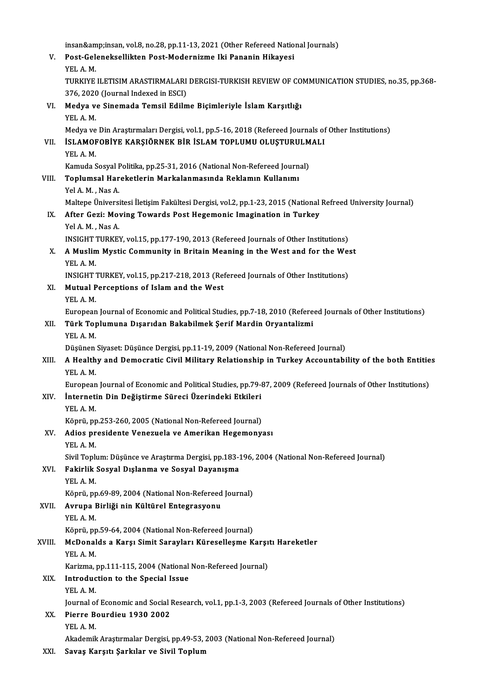|            | insan&insan, vol.8, no.28, pp.11-13, 2021 (Other Refereed National Journals)                                                                                         |
|------------|----------------------------------------------------------------------------------------------------------------------------------------------------------------------|
| V.         | Post-Geleneksellikten Post-Modernizme Iki Pananin Hikayesi                                                                                                           |
|            | YEL A.M.                                                                                                                                                             |
|            | TURKIYE ILETISIM ARASTIRMALARI DERGISI-TURKISH REVIEW OF COMMUNICATION STUDIES, no.35, pp.368-                                                                       |
|            | 376, 2020 (Journal Indexed in ESCI)                                                                                                                                  |
| VI.        | Medya ve Sinemada Temsil Edilme Biçimleriyle İslam Karşıtlığı                                                                                                        |
|            | YEL A M.                                                                                                                                                             |
|            | Medya ve Din Araştırmaları Dergisi, vol.1, pp.5-16, 2018 (Refereed Journals of Other Institutions)                                                                   |
| VII.       | İSLAMOFOBİYE KARŞIÖRNEK BİR İSLAM TOPLUMU OLUŞTURULMALI                                                                                                              |
|            | YEL A M                                                                                                                                                              |
|            | Kamuda Sosyal Politika, pp.25-31, 2016 (National Non-Refereed Journal)                                                                                               |
| VIII.      | Toplumsal Hareketlerin Markalanmasında Reklamın Kullanımı                                                                                                            |
|            | Yel A. M., Nas A.                                                                                                                                                    |
|            | Maltepe Üniversitesi İletişim Fakültesi Dergisi, vol.2, pp.1-23, 2015 (National Refreed University Journal)                                                          |
| IX.        | After Gezi: Moving Towards Post Hegemonic Imagination in Turkey<br>Yel A.M., Nas A.                                                                                  |
|            | INSIGHT TURKEY, vol.15, pp.177-190, 2013 (Refereed Journals of Other Institutions)                                                                                   |
| Χ.         | A Muslim Mystic Community in Britain Meaning in the West and for the West                                                                                            |
|            | YEL A.M.                                                                                                                                                             |
|            | INSIGHT TURKEY, vol.15, pp.217-218, 2013 (Refereed Journals of Other Institutions)                                                                                   |
| XI.        | Mutual Perceptions of Islam and the West                                                                                                                             |
|            | YEL A M.                                                                                                                                                             |
|            | European Journal of Economic and Political Studies, pp.7-18, 2010 (Refereed Journals of Other Institutions)                                                          |
| XII.       | Türk Toplumuna Dışarıdan Bakabilmek Şerif Mardin Oryantalizmi                                                                                                        |
|            | YEL A M                                                                                                                                                              |
|            | Düşünen Siyaset: Düşünce Dergisi, pp.11-19, 2009 (National Non-Refereed Journal)                                                                                     |
| XIII.      | A Healthy and Democratic Civil Military Relationship in Turkey Accountability of the both Entities                                                                   |
|            | YEL A M                                                                                                                                                              |
| XIV.       | European Journal of Economic and Political Studies, pp.79-87, 2009 (Refereed Journals of Other Institutions)<br>İnternetin Din Değiştirme Süreci Üzerindeki Etkileri |
|            | YEL A M                                                                                                                                                              |
|            | Köprü, pp.253-260, 2005 (National Non-Refereed Journal)                                                                                                              |
| XV.        | Adios presidente Venezuela ve Amerikan Hegemonyası                                                                                                                   |
|            | YEL A M                                                                                                                                                              |
|            | Sivil Toplum: Düşünce ve Araştırma Dergisi, pp.183-196, 2004 (National Non-Refereed Journal)                                                                         |
| XVI.       | Fakirlik Sosyal Dışlanma ve Sosyal Dayanışma                                                                                                                         |
|            | YEL A.M.                                                                                                                                                             |
|            | Köprü, pp.69-89, 2004 (National Non-Refereed Journal)                                                                                                                |
| XVII.      | Avrupa Birliği nin Kültürel Entegrasyonu                                                                                                                             |
|            | YEL A.M.                                                                                                                                                             |
|            | Köprü, pp.59-64, 2004 (National Non-Refereed Journal)                                                                                                                |
| XVIII.     | McDonalds a Karşı Simit Sarayları Küreselleşme Karşıtı Hareketler                                                                                                    |
|            | YEL A.M.<br>Karizma, pp.111-115, 2004 (National Non-Refereed Journal)                                                                                                |
| XIX.       | Introduction to the Special Issue                                                                                                                                    |
|            | YEL A.M.                                                                                                                                                             |
|            | Journal of Economic and Social Research, vol.1, pp.1-3, 2003 (Refereed Journals of Other Institutions)                                                               |
| XX.        | Pierre Bourdieu 1930 2002                                                                                                                                            |
|            | YEL A M                                                                                                                                                              |
|            | Akademik Araştırmalar Dergisi, pp.49-53, 2003 (National Non-Refereed Journal)                                                                                        |
| <b>VVI</b> | Carron Vanorty Canlulan va Civil Tanlum                                                                                                                              |

XXI. Savaş Karşıtı Şarkılar ve Sivil Toplum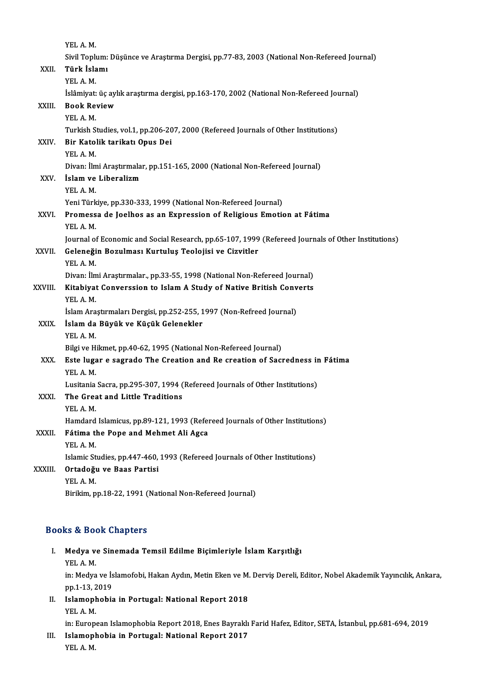|         | YEL A.M.                                                                                           |
|---------|----------------------------------------------------------------------------------------------------|
|         | Sivil Toplum: Düşünce ve Araştırma Dergisi, pp.77-83, 2003 (National Non-Refereed Journal)         |
| XXII.   | Türk İslamı                                                                                        |
|         | YEL A M.                                                                                           |
|         | İslâmiyat: üç aylık araştırma dergisi, pp.163-170, 2002 (National Non-Refereed Journal)            |
| XXIII.  | <b>Book Review</b>                                                                                 |
|         | YEL A.M.                                                                                           |
|         | Turkish Studies, vol.1, pp.206-207, 2000 (Refereed Journals of Other Institutions)                 |
| XXIV.   | Bir Katolik tarikatı Opus Dei                                                                      |
|         | YEL A M                                                                                            |
|         | Divan: İlmi Araştırmalar, pp.151-165, 2000 (National Non-Refereed Journal)                         |
| XXV.    | İslam ve Liberalizm                                                                                |
|         | YEL A M                                                                                            |
|         | Yeni Türkiye, pp.330-333, 1999 (National Non-Refereed Journal)                                     |
| XXVI.   | Promessa de Joelhos as an Expression of Religious Emotion at Fátima                                |
|         | YEL A.M.                                                                                           |
|         | Journal of Economic and Social Research, pp.65-107, 1999 (Refereed Journals of Other Institutions) |
| XXVII.  | Geleneğin Bozulması Kurtuluş Teolojisi ve Cizvitler                                                |
|         | YEL A M.                                                                                           |
|         | Divan: İlmi Araştırmalar., pp.33-55, 1998 (National Non-Refereed Journal)                          |
| XXVIII. | Kitabiyat Converssion to Islam A Study of Native British Converts<br>YEL A.M.                      |
|         | İslam Araştırmaları Dergisi, pp.252-255, 1997 (Non-Refreed Journal)                                |
| XXIX.   | İslam da Büyük ve Küçük Gelenekler                                                                 |
|         | YEL A.M.                                                                                           |
|         | Bilgi ve Hikmet, pp.40-62, 1995 (National Non-Refereed Journal)                                    |
| XXX.    | Este lugar e sagrado The Creation and Re creation of Sacredness in Fátima                          |
|         | YEL A M                                                                                            |
|         | Lusitania Sacra, pp.295-307, 1994 (Refereed Journals of Other Institutions)                        |
| XXXI.   | The Great and Little Traditions                                                                    |
|         | YEL A M                                                                                            |
|         | Hamdard Islamicus, pp.89-121, 1993 (Refereed Journals of Other Institutions)                       |
| XXXII.  | Fátima the Pope and Mehmet Ali Agca                                                                |
|         | YEL A.M.                                                                                           |
|         | Islamic Studies, pp.447-460, 1993 (Refereed Journals of Other Institutions)                        |
| XXXIII. | Ortadoğu ve Baas Partisi                                                                           |
|         | YEL A.M.                                                                                           |
|         | Birikim, pp.18-22, 1991 (National Non-Refereed Journal)                                            |
|         |                                                                                                    |

| <b>Books &amp; Book Chapters</b> |                                                                                                                  |  |  |
|----------------------------------|------------------------------------------------------------------------------------------------------------------|--|--|
| L.                               | Medya ve Sinemada Temsil Edilme Biçimleriyle İslam Karşıtlığı                                                    |  |  |
|                                  | YEL A M                                                                                                          |  |  |
|                                  | in: Medya ve İslamofobi, Hakan Aydın, Metin Eken ve M. Derviş Dereli, Editor, Nobel Akademik Yayıncılık, Ankara, |  |  |
|                                  | pp 1-13, 2019                                                                                                    |  |  |
| Н.                               | Islamophobia in Portugal: National Report 2018                                                                   |  |  |
|                                  | VEI A M                                                                                                          |  |  |

pp.1-13, 2<br>I<mark>slamoph</mark><br>YEL A. M.<br>in: Europ Islamophobia in Portugal: National Report 2018<br>YEL A. M.<br>in: European Islamophobia Report 2018, Enes Bayraklı Farid Hafez, Editor, SETA, İstanbul, pp.681-694, 2019<br>Islamophobia in Portugal: National Peport 2017

YEL A. M.<br>in: European Islamophobia Report 2018, Enes Bayraklı<br>III. Islamophobia in Portugal: National Report 2017 in: Europ<br>I<mark>slamop</mark>l<br>YEL A. M.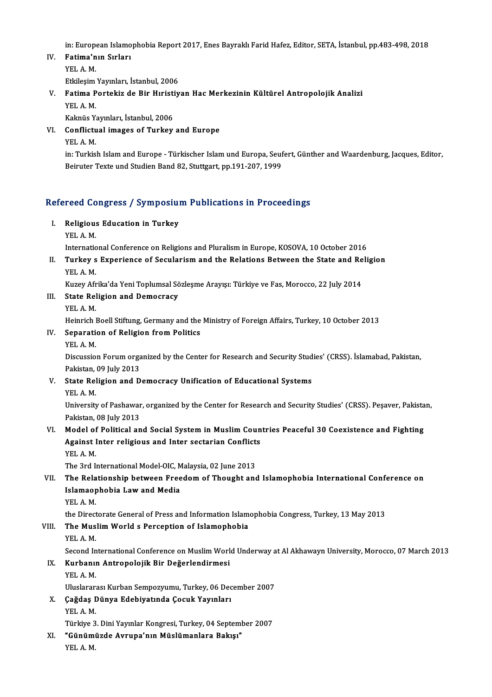in: European Islamophobia Report 2017, Enes Bayraklı Farid Hafez, Editor, SETA, İstanbul, pp.483-498, 2018<br>Fatima'nın Sırları

IV. Fatima'nın Sırları in: Europe<br>**Fatima'n**<br>YEL A. M.<br>Ethilosim Fatima'nın Sırları<br>YEL A. M.<br>Etkileşim Yayınları, İstanbul, 2006<br>Fatima Partakir de Bir Hıristiv

# YEL A. M.<br>Etkileşim Yayınları, İstanbul, 2006<br>V. Fatima Portekiz de Bir Hıristiyan Hac Merkezinin Kültürel Antropolojik Analizi<br>VEL A. M Etkileşim<br>Fatima P<br>YEL A. M.<br>Kaknüs V. Fatima Portekiz de Bir Hıristi<br>YEL A. M.<br>Kaknüs Yayınları, İstanbul, 2006<br>Conflictual images of Turkey YEL A. M.<br>Kaknüs Yayınları, İstanbul, 2006<br>VI. Conflictual images of Turkey and Europe<br>YEL A. M. Kaknüs Yayınları, İstanbul, 2006

Conflictual images of Turkey and Europe<br>YEL A. M.<br>in: Turkish Islam and Europe - Türkischer Islam und Europa, Seufert, Günther and Waardenburg, Jacques, Editor,<br>Reinyter Texte und Studien Bond 82, Stutteert, pp.191, 207, 1 YEL A. M.<br>in: Turkish Islam and Europe - Türkischer Islam und Europa, Seuf<br>Beiruter Texte und Studien Band 82, Stuttgart, pp.191-207, 1999

# Berruter Texte und Studien Band 82, Stuttgart, pp.191-207, 1999<br>Refereed Congress / Symposium Publications in Proceedings

efereed Congress / Symposiu<br>I. Religious Education in Turkey I. Religious Education in Turkey<br>YEL A. M.

Religious Education in Turkey<br>YEL A. M.<br>International Conference on Religions and Pluralism in Europe, KOSOVA, 10 October 2016<br>Turkey e Eunoriance of Sequlariam and the Pelations Petysen the State and Peli

YEL A. M.<br>International Conference on Religions and Pluralism in Europe, KOSOVA, 10 October 2016<br>II. Turkey s Experience of Secularism and the Relations Between the State and Religion<br>VEL A.M Internatic<br>Turkey s<br>YEL A. M.<br>Kuzey Afr Turkey s Experience of Secularism and the Relations Between the State and Re<br>YEL A. M.<br>Kuzey Afrika'da Yeni Toplumsal Sözleşme Arayışı: Türkiye ve Fas, Morocco, 22 July 2014<br>State Polisian and Demogracy

YEL A. M.<br>Kuzey Afrika'da Yeni Toplumsal So<br>III. State Religion and Democracy<br>YEL A. M. Kuzey Afr<br>State Rel<br>YEL A. M.<br>Heinrich l

State Religion and Democracy<br>YEL A. M.<br>Heinrich Boell Stiftung, Germany and the Ministry of Foreign Affairs, Turkey, 10 October 2013<br>Senaration of Peligion from Pelities

# IV. Separation of Religion from Politics<br>YEL A. M. Heinrich<br>S<mark>eparati</mark><br>YEL A. M.<br>Discussio

Separation of Religion from Politics<br>YEL A. M.<br>Discussion Forum organized by the Center for Research and Security Studies' (CRSS). İslamabad, Pakistan,<br>Pakistan, 00 July 2012 YEL A. M.<br>Discussion Forum orga<br>Pakistan, 09 July 2013<br>State Poligion and D Discussion Forum organized by the Center for Research and Security Stud<br>Pakistan, 09 July 2013<br>V. State Religion and Democracy Unification of Educational Systems<br>VEL A M

# Pakistan, 09 July 2013<br>V. State Religion and Democracy Unification of Educational Systems<br>YEL A. M.

State Religion and Democracy Unification of Educational Systems<br>YEL A. M.<br>University of Pashawar, organized by the Center for Research and Security Studies' (CRSS). Peşaver, Pakistan, YEL A. M.<br>University of Pashawar<br>Pakistan, 08 July 2013<br>Model of Balitical an University of Pashawar, organized by the Center for Research and Security Studies' (CRSS). Peşaver, Pakista<br>Pakistan, 08 July 2013<br>VI. Model of Political and Social System in Muslim Countries Peaceful 30 Coexistence and Fi

# Pakistan, 08 July 2013<br>Model of Political and Social System in Muslim Coun<br>Against Inter religious and Inter sectarian Conflicts<br>YEL A M Model of<br>Against l<br>YEL A. M.<br>The 2rd U Against Inter religious and Inter sectarian Conflict:<br>YEL A. M.<br>The 3rd International Model-OIC, Malaysia, 02 June 2013<br>The Belationship between Freedem of Thought and

# YEL A. M.<br>The 3rd International Model-OIC, Malaysia, 02 June 2013<br>VII. The Relationship between Freedom of Thought and Islamophobia International Conference on<br>Islamaanhabia Law and Modia The 3rd International Model-OIC, M<br>The Relationship between Free<br>Islamaophobia Law and Media<br>VEL A M The Rela<br>Islamaop<br>YEL A. M.<br>the Direct Islamaophobia Law and Media<br>TEL A. M.<br>the Directorate General of Press and Information Islamophobia Congress, Turkey, 13 May 2013

# YEL A. M.<br>the Directorate General of Press and Information Islam<br>VIII. The Muslim World s Perception of Islamophobia<br>VEL A. M. the Direct<br>**The Mus**<br>YEL A. M.<br>Second In

The Muslim World s Perception of Islamophobia<br>YEL A. M.<br>Second International Conference on Muslim World Underway at Al Akhawayn University, Morocco, 07 March 2013<br>Kurbanyn Antronaloijk Pir Doğarlandirmesi YEL A. M.<br>Second International Conference on Muslim World<br>IX. Kurbanın Antropolojik Bir Değerlendirmesi<br>YEL A. M. Second In<br><mark>Kurbanıı</mark><br>YEL A. M.<br>Uluslanar

UluslararasıKurbanSempozyumu,Turkey,06December 2007

YEL A. M.<br>Uluslararası Kurban Sempozyumu, Turkey, 06 Dec<br>X. Çağdaş Dünya Edebiyatında Çocuk Yayınları<br>YEL A. M Uluslarara<br>**Çağdaş I**<br>YEL A. M.<br>Türkiye 2 Çağdaş Dünya Edebiyatında Çocuk Yayınları<br>YEL A. M.<br>Türkiye 3. Dini Yayınlar Kongresi, Turkey, 04 September 2007<br>"Cünümüzde Aynuna'nın Müalümanlara Bakıa"

YEL A. M.<br>Türkiye 3. Dini Yayınlar Kongresi, Turkey, 04 Septem<br>XI. "Günümüzde Avrupa'nın Müslümanlara Bakışı"<br>YEL A. M. Türkiye 3<br>**"Günüm**ı<br>YEL A. M.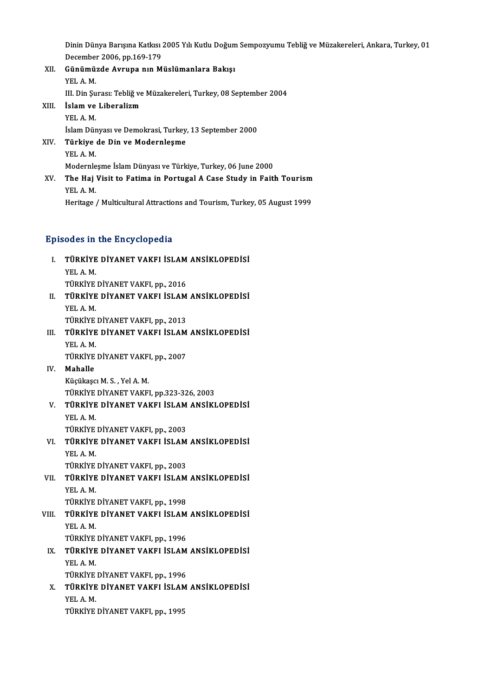Dinin Dünya Barışına Katkısı 2005 Yılı Kutlu Doğum Sempozyumu Tebliğ ve Müzakereleri, Ankara, Turkey, 01<br>Desember 3006, np.169,179 Dinin Dünya Barışına Katkısı<br>December 2006, pp.169-179<br>Günümüzde Aynuna nun M December 2006, pp 169-179

XII. Günümüzde Avrupa nın Müslümanlara Bakışı<br>YEL A.M. Günümüzde Avrupa nın Müslümanlara Bakışı<br>YEL A. M.<br>III. Din Şurası: Tebliğ ve Müzakereleri, Turkey, 08 September 2004<br>İslam ve Liberalizm XIII. **İslam ve Liberalizm**<br>YEL A. M. III. Din Şu<br>İslam ve<br>YEL A. M.<br>İslam Dür

İslam ve Liberalizm<br>YEL A. M.<br>İslam Dünyası ve Demokrasi, Turkey, 13 September 2000<br>Türkiye de Din ve Medernlesme YEL A. M.<br>İslam Dünyası ve Demokrasi, Turkey,<br>XIV. Türkiye de Din ve Modernleşme<br>VEL A M İslam Dür<br>**Türkiye**<br>YEL A. M.<br>Modernle Türkiye de Din ve Modernleşme<br>YEL A. M.<br>Modernleşme İslam Dünyası ve Türkiye, Turkey, 06 June 2000<br>The Hei Visit te Eatime in Bertugal A Gase Study in Eati

YEL A. M.<br>Modernleşme İslam Dünyası ve Türkiye, Turkey, 06 June 2000<br>XV. The Haj Visit to Fatima in Portugal A Case Study in Faith Tourism<br>YEL A. M. Modernie<br>The Haj<br>YEL A. M.<br>Heritage Heritage / Multicultural Attractions and Tourism, Turkey, 05 August 1999

## Episodes in the Encyclopedia

pisodes in the Encyclopedia<br>I. TÜRKİYE DİYANET VAKFI İSLAM ANSİKLOPEDİSİ<br>XELA M UGUS III<br>TÜRKİYE<br>YEL A. M.<br>TÜRKİVE TÜRKİYE DİYANET VAKFI İSLAM<br>YEL A. M.<br>TÜRKİYE DİYANET VAKFI, pp., 2016<br>TÜRKİYE DİYANET VAKEL İSLAM YEL A. M.<br>TÜRKİYE DİYANET VAKFI, pp., 2016<br>II. TÜRKİYE DİYANET VAKFI İSLAM ANSİKLOPEDİSİ<br>VEL A M TÜRKİYE<br><mark>TÜRKİYE</mark><br>YEL A. M.<br>TÜRKİYE TÜRKİYE DİYANET VAKFI İSLAM<br>YEL A. M.<br>TÜRKİYE DİYANET VAKFI, pp., 2013<br>TÜRKİYE DİYANET VAKEL İSLAM YEL A. M.<br>TÜRKİYE DİYANET VAKFI, pp., 2013<br>III. TÜRKİYE DİYANET VAKFI İSLAM ANSİKLOPEDİSİ<br>YEL A. M. TÜRKİYE DİYANET VAKFI, pp., 2013 TÜRKİYE DİYANET VAKFI İSLAM<br>YEL A. M.<br>TÜRKİYE DİYANET VAKFI, pp., 2007<br>Maballa IV. Mahalle<br>Küçükaşcı M. S., Yel A. M. TÜRKİYE DİYANET VAKF!<br><mark>Mahalle</mark><br>Küçükaşcı M. S. , Yel A. M.<br>TÜRKİVE DİYANET VAKE! Mahalle<br>Küçükaşcı M. S. , Yel A. M.<br>TÜRKİYE DİYANET VAKFI, pp.323-326, 2003<br>TÜRKİYE DİYANET VAKEL İSLAM ANSİKI V. TÜRKİYE DİYANET VAKFI İSLAM ANSİKLOPEDİSİ<br>YEL A.M. TÜRKİYE<br><mark>TÜRKİYE</mark><br>YEL A. M.<br>TÜRKİYE TÜRKİYE DİYANET VAKFI İSLAM<br>YEL A. M.<br>TÜRKİYE DİYANET VAKFI, pp., 2003<br>TÜRKİYE DİYANET VAKEL İSLAM VI. TÜRKİYE DİYANET VAKFI İSLAM ANSİKLOPEDİSİ<br>YEL A.M. TÜRKİYE<br><mark>TÜRKİYE</mark><br>YEL A. M.<br>TÜRKİYE TÜRKİYE DİYANET VAKFI İSLAM<br>YEL A. M.<br>TÜRKİYE DİYANET VAKFI, pp., 2003<br>TÜRKİYE DİYANET VAKEL İSLAM VII. TÜRKİYE DİYANET VAKFI İSLAM ANSİKLOPEDİSİ<br>YEL A.M. TÜRKİYE<br><mark>TÜRKİYE</mark><br>YEL A. M.<br>TÜRKİYE TÜRKİYE DİYANET VAKFI, pp., 1998 YEL A. M.<br>TÜRKİYE DİYANET VAKFI, pp., 1998<br>VIII. TÜRKİYE DİYANET VAKFI İSLAM ANSİKLOPEDİSİ<br>VEL A. M TÜRKİYE<br><mark>TÜRKİYE</mark><br>YEL A. M.<br>TÜRKİYE TÜRKİYE DİYANET VAKFI İSLAM<br>YEL A. M.<br>TÜRKİYE DİYANET VAKFI, pp., 1996<br>TÜRKİYE DİYANET VAKEL İSLAM YEL A. M.<br>TÜRKİYE DİYANET VAKFI, pp., 1996<br>IX. TÜRKİYE DİYANET VAKFI İSLAM ANSİKLOPEDİSİ<br>YEL A. M. TÜRKİYE DİYANET VAKFI, pp., 1996 TÜRKİYE DİYANET VAKFI İSLAM<br>YEL A. M.<br>TÜRKİYE DİYANET VAKFI, pp., 1996<br>TÜRKİYE DİYANET VAKEL İSLAM X. TÜRKİYE DİYANET VAKFI İSLAM ANSİKLOPEDİSİ<br>YEL A.M. TÜRKİYE<br><mark>TÜRKİYE</mark><br>YEL A. M.<br>TÜRKİYE TÜRKİYEDİYANETVAKFI,pp.,1995